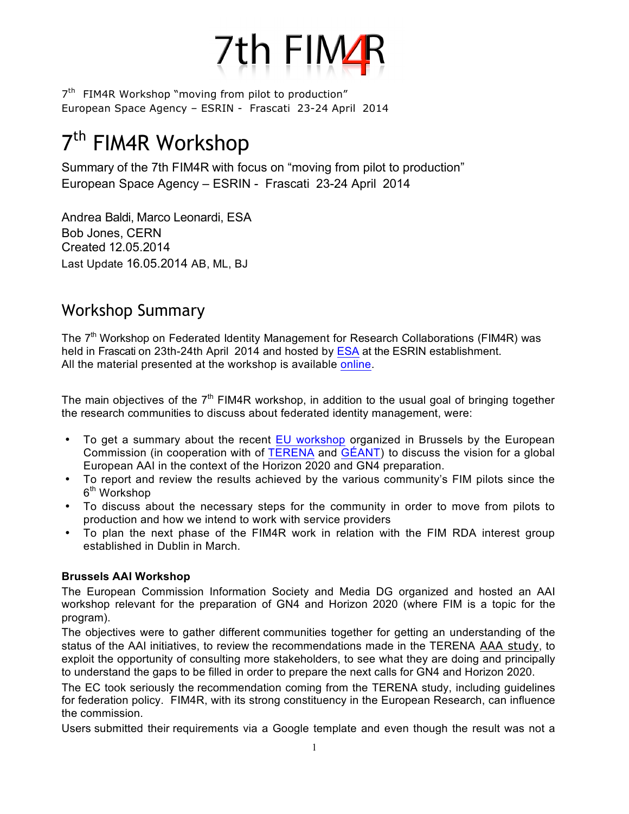

# 7<sup>th</sup> FIM4R Workshop

Summary of the 7th FIM4R with focus on "moving from pilot to production" European Space Agency – ESRIN - Frascati 23-24 April 2014

Andrea Baldi, Marco Leonardi, ESA Bob Jones, CERN Created 12.05.2014 Last Update 16.05.2014 AB, ML, BJ

# Workshop Summary

The  $7<sup>th</sup>$  Workshop on Federated Identity Management for Research Collaborations (FIM4R) was held in Frascati on 23th-24th April 2014 and hosted by ESA at the ESRIN establishment. All the material presented at the workshop is available online.

The main objectives of the  $7<sup>th</sup>$  FIM4R workshop, in addition to the usual goal of bringing together the research communities to discuss about federated identity management, were:

- To get a summary about the recent EU workshop organized in Brussels by the European Commission (in cooperation with of TERENA and GÉANT) to discuss the vision for a global European AAI in the context of the Horizon 2020 and GN4 preparation.
- To report and review the results achieved by the various community's FIM pilots since the 6<sup>th</sup> Workshop
- To discuss about the necessary steps for the community in order to move from pilots to production and how we intend to work with service providers
- To plan the next phase of the FIM4R work in relation with the FIM RDA interest group established in Dublin in March.

# **Brussels AAI Workshop**

The European Commission Information Society and Media DG organized and hosted an AAI workshop relevant for the preparation of GN4 and Horizon 2020 (where FIM is a topic for the program).

The objectives were to gather different communities together for getting an understanding of the status of the AAI initiatives, to review the recommendations made in the TERENA AAA study, to exploit the opportunity of consulting more stakeholders, to see what they are doing and principally to understand the gaps to be filled in order to prepare the next calls for GN4 and Horizon 2020.

The EC took seriously the recommendation coming from the TERENA study, including guidelines for federation policy. FIM4R, with its strong constituency in the European Research, can influence the commission.

Users submitted their requirements via a Google template and even though the result was not a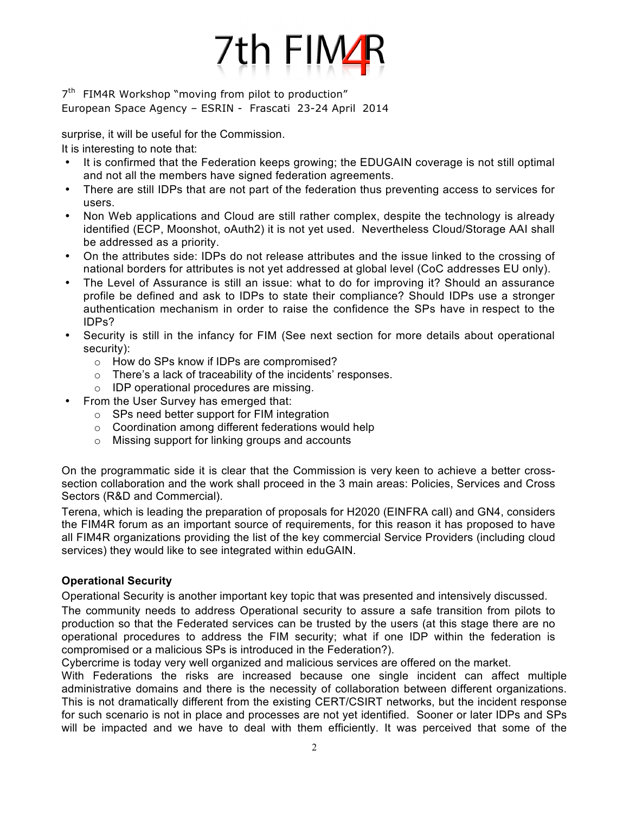

surprise, it will be useful for the Commission.

It is interesting to note that:

- It is confirmed that the Federation keeps growing; the EDUGAIN coverage is not still optimal and not all the members have signed federation agreements.
- There are still IDPs that are not part of the federation thus preventing access to services for users.
- Non Web applications and Cloud are still rather complex, despite the technology is already identified (ECP, Moonshot, oAuth2) it is not yet used. Nevertheless Cloud/Storage AAI shall be addressed as a priority.
- On the attributes side: IDPs do not release attributes and the issue linked to the crossing of national borders for attributes is not yet addressed at global level (CoC addresses EU only).
- The Level of Assurance is still an issue: what to do for improving it? Should an assurance profile be defined and ask to IDPs to state their compliance? Should IDPs use a stronger authentication mechanism in order to raise the confidence the SPs have in respect to the IDPs?
- Security is still in the infancy for FIM (See next section for more details about operational security):
	- o How do SPs know if IDPs are compromised?
	- o There's a lack of traceability of the incidents' responses.
	- o IDP operational procedures are missing.
- From the User Survey has emerged that:
	- o SPs need better support for FIM integration
	- o Coordination among different federations would help
	- o Missing support for linking groups and accounts

On the programmatic side it is clear that the Commission is very keen to achieve a better crosssection collaboration and the work shall proceed in the 3 main areas: Policies, Services and Cross Sectors (R&D and Commercial).

Terena, which is leading the preparation of proposals for H2020 (EINFRA call) and GN4, considers the FIM4R forum as an important source of requirements, for this reason it has proposed to have all FIM4R organizations providing the list of the key commercial Service Providers (including cloud services) they would like to see integrated within eduGAIN.

# **Operational Security**

Operational Security is another important key topic that was presented and intensively discussed. The community needs to address Operational security to assure a safe transition from pilots to production so that the Federated services can be trusted by the users (at this stage there are no operational procedures to address the FIM security; what if one IDP within the federation is compromised or a malicious SPs is introduced in the Federation?).

Cybercrime is today very well organized and malicious services are offered on the market.

With Federations the risks are increased because one single incident can affect multiple administrative domains and there is the necessity of collaboration between different organizations. This is not dramatically different from the existing CERT/CSIRT networks, but the incident response for such scenario is not in place and processes are not yet identified. Sooner or later IDPs and SPs will be impacted and we have to deal with them efficiently. It was perceived that some of the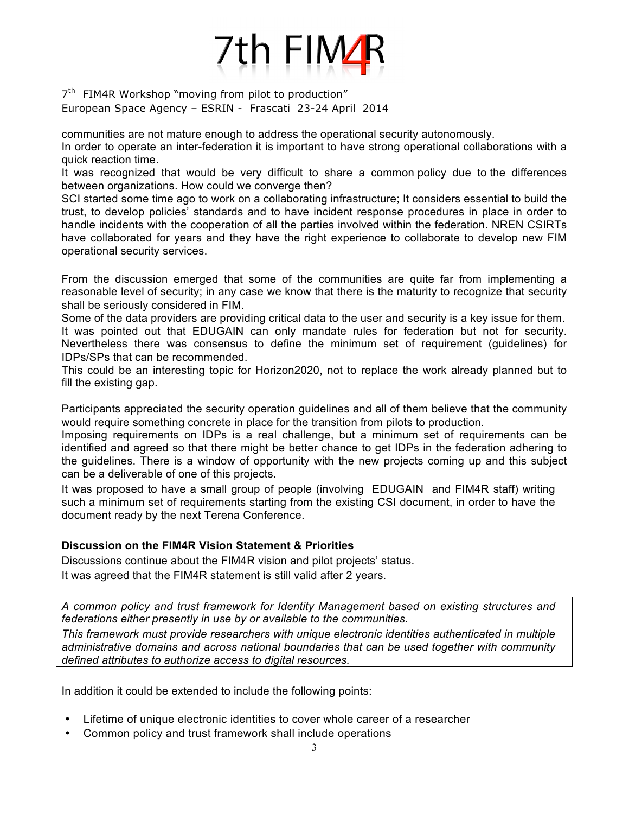

communities are not mature enough to address the operational security autonomously.

In order to operate an inter-federation it is important to have strong operational collaborations with a quick reaction time.

It was recognized that would be very difficult to share a common policy due to the differences between organizations. How could we converge then?

SCI started some time ago to work on a collaborating infrastructure; It considers essential to build the trust, to develop policies' standards and to have incident response procedures in place in order to handle incidents with the cooperation of all the parties involved within the federation. NREN CSIRTs have collaborated for years and they have the right experience to collaborate to develop new FIM operational security services.

From the discussion emerged that some of the communities are quite far from implementing a reasonable level of security; in any case we know that there is the maturity to recognize that security shall be seriously considered in FIM.

Some of the data providers are providing critical data to the user and security is a key issue for them. It was pointed out that EDUGAIN can only mandate rules for federation but not for security. Nevertheless there was consensus to define the minimum set of requirement (guidelines) for IDPs/SPs that can be recommended.

This could be an interesting topic for Horizon2020, not to replace the work already planned but to fill the existing gap.

Participants appreciated the security operation guidelines and all of them believe that the community would require something concrete in place for the transition from pilots to production.

Imposing requirements on IDPs is a real challenge, but a minimum set of requirements can be identified and agreed so that there might be better chance to get IDPs in the federation adhering to the guidelines. There is a window of opportunity with the new projects coming up and this subject can be a deliverable of one of this projects.

It was proposed to have a small group of people (involving EDUGAIN and FIM4R staff) writing such a minimum set of requirements starting from the existing CSI document, in order to have the document ready by the next Terena Conference.

### **Discussion on the FIM4R Vision Statement & Priorities**

Discussions continue about the FIM4R vision and pilot projects' status.

It was agreed that the FIM4R statement is still valid after 2 years.

*A common policy and trust framework for Identity Management based on existing structures and federations either presently in use by or available to the communities.*

*This framework must provide researchers with unique electronic identities authenticated in multiple administrative domains and across national boundaries that can be used together with community defined attributes to authorize access to digital resources.*

In addition it could be extended to include the following points:

- Lifetime of unique electronic identities to cover whole career of a researcher
- Common policy and trust framework shall include operations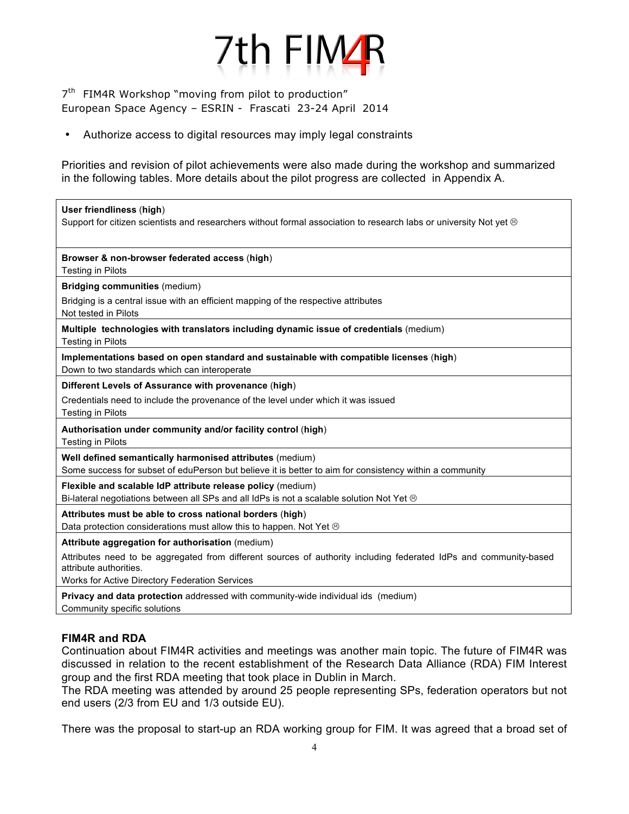

• Authorize access to digital resources may imply legal constraints

Priorities and revision of pilot achievements were also made during the workshop and summarized in the following tables. More details about the pilot progress are collected in Appendix A.

| User friendliness (high)<br>Support for citizen scientists and researchers without formal association to research labs or university Not yet ®                                                |
|-----------------------------------------------------------------------------------------------------------------------------------------------------------------------------------------------|
| Browser & non-browser federated access (high)<br><b>Testing in Pilots</b>                                                                                                                     |
| <b>Bridging communities (medium)</b><br>Bridging is a central issue with an efficient mapping of the respective attributes<br>Not tested in Pilots                                            |
| Multiple technologies with translators including dynamic issue of credentials (medium)<br><b>Testing in Pilots</b>                                                                            |
| Implementations based on open standard and sustainable with compatible licenses (high)<br>Down to two standards which can interoperate                                                        |
| Different Levels of Assurance with provenance (high)                                                                                                                                          |
| Credentials need to include the provenance of the level under which it was issued<br><b>Testing in Pilots</b>                                                                                 |
| Authorisation under community and/or facility control (high)<br><b>Testing in Pilots</b>                                                                                                      |
| Well defined semantically harmonised attributes (medium)<br>Some success for subset of eduPerson but believe it is better to aim for consistency within a community                           |
| Flexible and scalable IdP attribute release policy (medium)<br>Bi-lateral negotiations between all SPs and all IdPs is not a scalable solution Not Yet $\otimes$                              |
| Attributes must be able to cross national borders (high)<br>Data protection considerations must allow this to happen. Not Yet $\odot$                                                         |
| Attribute aggregation for authorisation (medium)                                                                                                                                              |
| Attributes need to be aggregated from different sources of authority including federated IdPs and community-based<br>attribute authorities.<br>Works for Active Directory Federation Services |
| <b>Privacy and data protection</b> addressed with community-wide individual ids (medium)<br>Community specific solutions                                                                      |

### **FIM4R and RDA**

Continuation about FIM4R activities and meetings was another main topic. The future of FIM4R was discussed in relation to the recent establishment of the Research Data Alliance (RDA) FIM Interest group and the first RDA meeting that took place in Dublin in March.

The RDA meeting was attended by around 25 people representing SPs, federation operators but not end users (2/3 from EU and 1/3 outside EU).

There was the proposal to start-up an RDA working group for FIM. It was agreed that a broad set of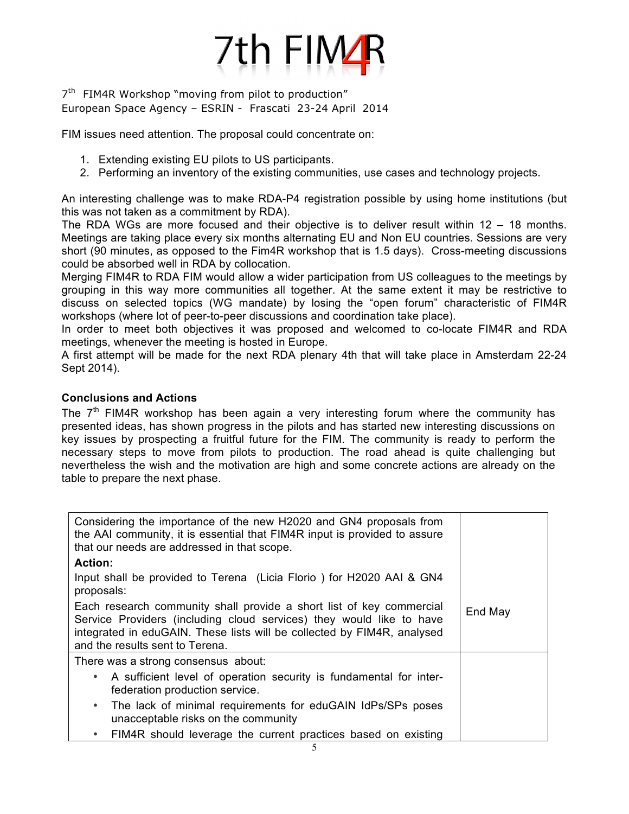

FIM issues need attention. The proposal could concentrate on:

- 1. Extending existing EU pilots to US participants.
- 2. Performing an inventory of the existing communities, use cases and technology projects.

An interesting challenge was to make RDA-P4 registration possible by using home institutions (but this was not taken as a commitment by RDA).

The RDA WGs are more focused and their objective is to deliver result within 12 – 18 months. Meetings are taking place every six months alternating EU and Non EU countries. Sessions are very short (90 minutes, as opposed to the Fim4R workshop that is 1.5 days). Cross-meeting discussions could be absorbed well in RDA by collocation.

Merging FIM4R to RDA FIM would allow a wider participation from US colleagues to the meetings by grouping in this way more communities all together. At the same extent it may be restrictive to discuss on selected topics (WG mandate) by losing the "open forum" characteristic of FIM4R workshops (where lot of peer-to-peer discussions and coordination take place).

In order to meet both objectives it was proposed and welcomed to co-locate FIM4R and RDA meetings, whenever the meeting is hosted in Europe.

A first attempt will be made for the next RDA plenary 4th that will take place in Amsterdam 22-24 Sept 2014).

### **Conclusions and Actions**

The  $7<sup>th</sup>$  FIM4R workshop has been again a very interesting forum where the community has presented ideas, has shown progress in the pilots and has started new interesting discussions on key issues by prospecting a fruitful future for the FIM. The community is ready to perform the necessary steps to move from pilots to production. The road ahead is quite challenging but nevertheless the wish and the motivation are high and some concrete actions are already on the table to prepare the next phase.

| Considering the importance of the new H2020 and GN4 proposals from<br>the AAI community, it is essential that FIM4R input is provided to assure<br>that our needs are addressed in that scope.                                                             |         |
|------------------------------------------------------------------------------------------------------------------------------------------------------------------------------------------------------------------------------------------------------------|---------|
| <b>Action:</b>                                                                                                                                                                                                                                             |         |
| Input shall be provided to Terena (Licia Florio) for H2020 AAI & GN4<br>proposals:                                                                                                                                                                         |         |
| Each research community shall provide a short list of key commercial<br>Service Providers (including cloud services) they would like to have<br>integrated in eduGAIN. These lists will be collected by FIM4R, analysed<br>and the results sent to Terena. | End May |
| There was a strong consensus about:                                                                                                                                                                                                                        |         |
| • A sufficient level of operation security is fundamental for inter-<br>federation production service.                                                                                                                                                     |         |
| The lack of minimal requirements for eduGAIN IdPs/SPs poses<br>$\bullet$<br>unacceptable risks on the community                                                                                                                                            |         |
| FIM4R should leverage the current practices based on existing<br>$\bullet$                                                                                                                                                                                 |         |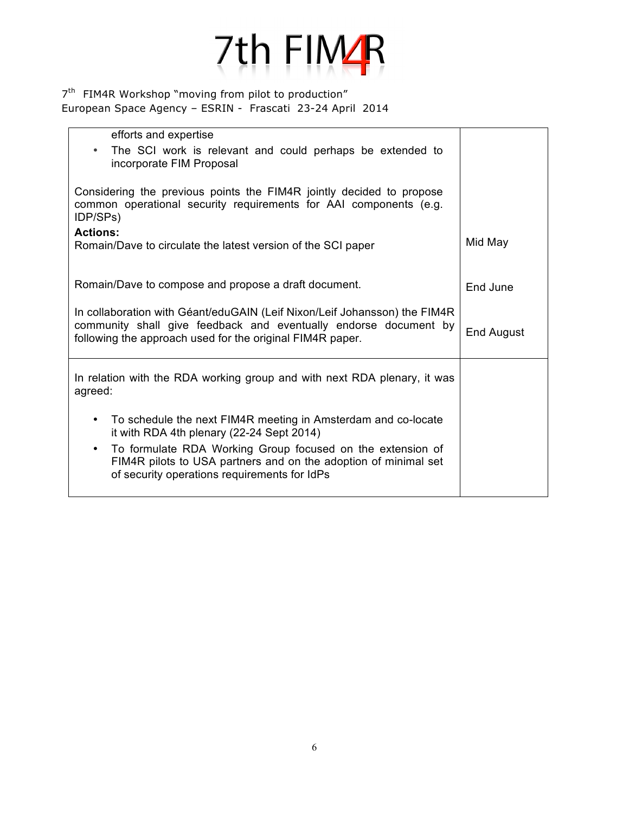

| efforts and expertise                                                                                                                                                                                      |            |
|------------------------------------------------------------------------------------------------------------------------------------------------------------------------------------------------------------|------------|
| The SCI work is relevant and could perhaps be extended to<br>$\bullet$<br>incorporate FIM Proposal                                                                                                         |            |
| Considering the previous points the FIM4R jointly decided to propose<br>common operational security requirements for AAI components (e.g.<br>IDP/SPs)                                                      |            |
| <b>Actions:</b><br>Romain/Dave to circulate the latest version of the SCI paper                                                                                                                            | Mid May    |
| Romain/Dave to compose and propose a draft document.                                                                                                                                                       | End June   |
| In collaboration with Géant/eduGAIN (Leif Nixon/Leif Johansson) the FIM4R<br>community shall give feedback and eventually endorse document by<br>following the approach used for the original FIM4R paper. | End August |
| In relation with the RDA working group and with next RDA plenary, it was<br>agreed:                                                                                                                        |            |
| To schedule the next FIM4R meeting in Amsterdam and co-locate<br>$\bullet$<br>it with RDA 4th plenary (22-24 Sept 2014)                                                                                    |            |
| To formulate RDA Working Group focused on the extension of<br>$\bullet$<br>FIM4R pilots to USA partners and on the adoption of minimal set<br>of security operations requirements for IdPs                 |            |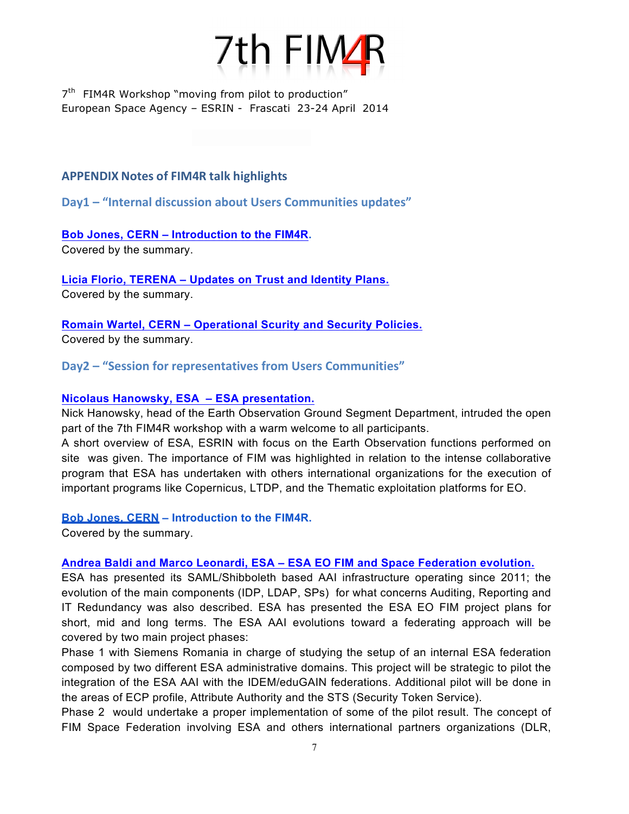

## **APPENDIX Notes of FIM4R talk highlights**

**Day1** – "Internal discussion about Users Communities updates"

# **Bob Jones, CERN – Introduction to the FIM4R.**

Covered by the summary.

**Licia Florio, TERENA – Updates on Trust and Identity Plans.** Covered by the summary.

**Romain Wartel, CERN – Operational Scurity and Security Policies.** Covered by the summary.

# **Day2** – "Session for representatives from Users Communities"

### **Nicolaus Hanowsky, ESA – ESA presentation.**

Nick Hanowsky, head of the Earth Observation Ground Segment Department, intruded the open part of the 7th FIM4R workshop with a warm welcome to all participants.

A short overview of ESA, ESRIN with focus on the Earth Observation functions performed on site was given. The importance of FIM was highlighted in relation to the intense collaborative program that ESA has undertaken with others international organizations for the execution of important programs like Copernicus, LTDP, and the Thematic exploitation platforms for EO.

### **Bob Jones, CERN – Introduction to the FIM4R.**

Covered by the summary.

### **Andrea Baldi and Marco Leonardi, ESA – ESA EO FIM and Space Federation evolution.**

ESA has presented its SAML/Shibboleth based AAI infrastructure operating since 2011; the evolution of the main components (IDP, LDAP, SPs) for what concerns Auditing, Reporting and IT Redundancy was also described. ESA has presented the ESA EO FIM project plans for short, mid and long terms. The ESA AAI evolutions toward a federating approach will be covered by two main project phases:

Phase 1 with Siemens Romania in charge of studying the setup of an internal ESA federation composed by two different ESA administrative domains. This project will be strategic to pilot the integration of the ESA AAI with the IDEM/eduGAIN federations. Additional pilot will be done in the areas of ECP profile, Attribute Authority and the STS (Security Token Service).

Phase 2 would undertake a proper implementation of some of the pilot result. The concept of FIM Space Federation involving ESA and others international partners organizations (DLR,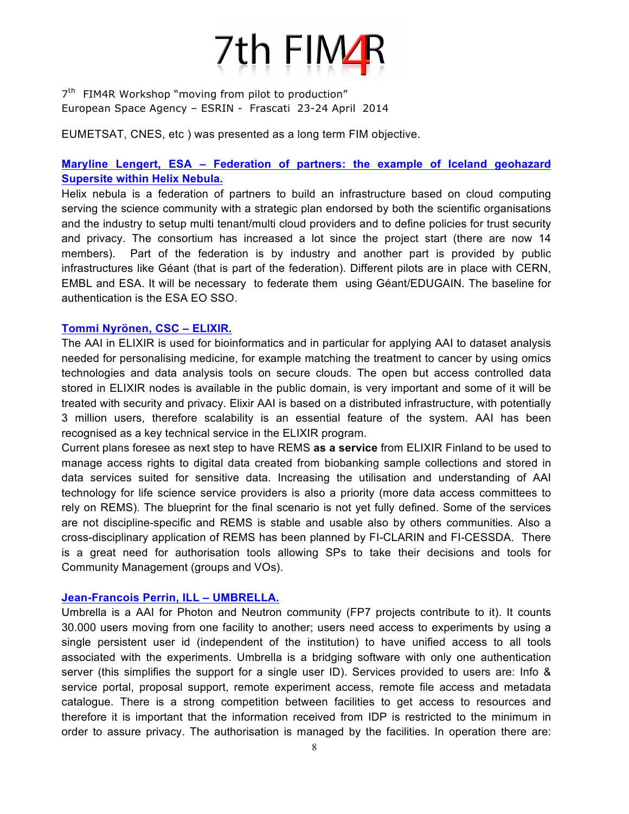

EUMETSAT, CNES, etc ) was presented as a long term FIM objective.

# **Maryline Lengert, ESA – Federation of partners: the example of Iceland geohazard Supersite within Helix Nebula.**

Helix nebula is a federation of partners to build an infrastructure based on cloud computing serving the science community with a strategic plan endorsed by both the scientific organisations and the industry to setup multi tenant/multi cloud providers and to define policies for trust security and privacy. The consortium has increased a lot since the project start (there are now 14 members). Part of the federation is by industry and another part is provided by public infrastructures like Géant (that is part of the federation). Different pilots are in place with CERN, EMBL and ESA. It will be necessary to federate them using Géant/EDUGAIN. The baseline for authentication is the ESA EO SSO.

#### **Tommi Nyrönen, CSC – ELIXIR.**

The AAI in ELIXIR is used for bioinformatics and in particular for applying AAI to dataset analysis needed for personalising medicine, for example matching the treatment to cancer by using omics technologies and data analysis tools on secure clouds. The open but access controlled data stored in ELIXIR nodes is available in the public domain, is very important and some of it will be treated with security and privacy. Elixir AAI is based on a distributed infrastructure, with potentially 3 million users, therefore scalability is an essential feature of the system. AAI has been recognised as a key technical service in the ELIXIR program.

Current plans foresee as next step to have REMS **as a service** from ELIXIR Finland to be used to manage access rights to digital data created from biobanking sample collections and stored in data services suited for sensitive data. Increasing the utilisation and understanding of AAI technology for life science service providers is also a priority (more data access committees to rely on REMS). The blueprint for the final scenario is not yet fully defined. Some of the services are not discipline-specific and REMS is stable and usable also by others communities. Also a cross-disciplinary application of REMS has been planned by FI-CLARIN and FI-CESSDA. There is a great need for authorisation tools allowing SPs to take their decisions and tools for Community Management (groups and VOs).

#### **Jean-Francois Perrin, ILL – UMBRELLA.**

Umbrella is a AAI for Photon and Neutron community (FP7 projects contribute to it). It counts 30.000 users moving from one facility to another; users need access to experiments by using a single persistent user id (independent of the institution) to have unified access to all tools associated with the experiments. Umbrella is a bridging software with only one authentication server (this simplifies the support for a single user ID). Services provided to users are: Info & service portal, proposal support, remote experiment access, remote file access and metadata catalogue. There is a strong competition between facilities to get access to resources and therefore it is important that the information received from IDP is restricted to the minimum in order to assure privacy. The authorisation is managed by the facilities. In operation there are: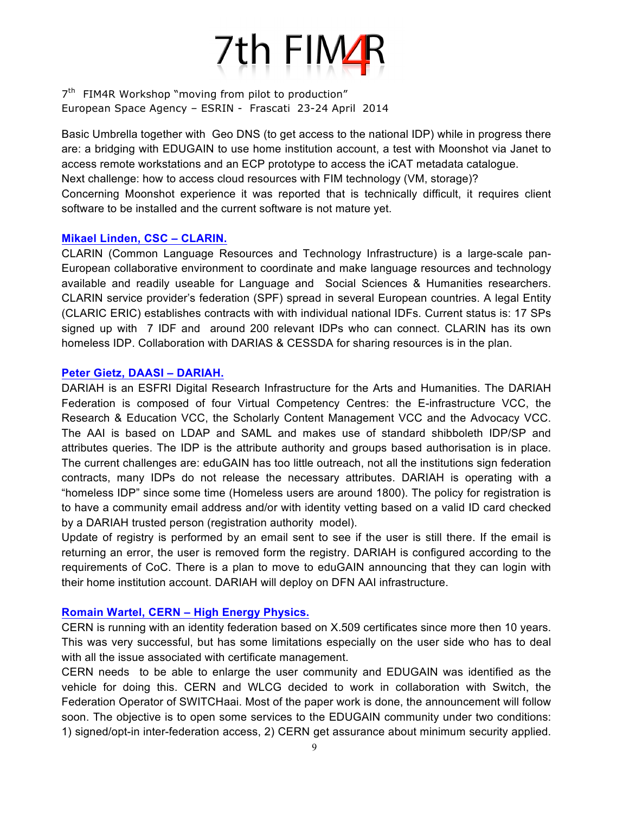

Basic Umbrella together with Geo DNS (to get access to the national IDP) while in progress there are: a bridging with EDUGAIN to use home institution account, a test with Moonshot via Janet to access remote workstations and an ECP prototype to access the iCAT metadata catalogue. Next challenge: how to access cloud resources with FIM technology (VM, storage)? Concerning Moonshot experience it was reported that is technically difficult, it requires client software to be installed and the current software is not mature yet.

#### **Mikael Linden, CSC – CLARIN.**

CLARIN (Common Language Resources and Technology Infrastructure) is a large-scale pan-European collaborative environment to coordinate and make language resources and technology available and readily useable for Language and Social Sciences & Humanities researchers. CLARIN service provider's federation (SPF) spread in several European countries. A legal Entity (CLARIC ERIC) establishes contracts with with individual national IDFs. Current status is: 17 SPs signed up with 7 IDF and around 200 relevant IDPs who can connect. CLARIN has its own homeless IDP. Collaboration with DARIAS & CESSDA for sharing resources is in the plan.

#### **Peter Gietz, DAASI – DARIAH.**

DARIAH is an ESFRI Digital Research Infrastructure for the Arts and Humanities. The DARIAH Federation is composed of four Virtual Competency Centres: the E-infrastructure VCC, the Research & Education VCC, the Scholarly Content Management VCC and the Advocacy VCC. The AAI is based on LDAP and SAML and makes use of standard shibboleth IDP/SP and attributes queries. The IDP is the attribute authority and groups based authorisation is in place. The current challenges are: eduGAIN has too little outreach, not all the institutions sign federation contracts, many IDPs do not release the necessary attributes. DARIAH is operating with a "homeless IDP" since some time (Homeless users are around 1800). The policy for registration is to have a community email address and/or with identity vetting based on a valid ID card checked by a DARIAH trusted person (registration authority model).

Update of registry is performed by an email sent to see if the user is still there. If the email is returning an error, the user is removed form the registry. DARIAH is configured according to the requirements of CoC. There is a plan to move to eduGAIN announcing that they can login with their home institution account. DARIAH will deploy on DFN AAI infrastructure.

#### **Romain Wartel, CERN – High Energy Physics.**

CERN is running with an identity federation based on X.509 certificates since more then 10 years. This was very successful, but has some limitations especially on the user side who has to deal with all the issue associated with certificate management.

CERN needs to be able to enlarge the user community and EDUGAIN was identified as the vehicle for doing this. CERN and WLCG decided to work in collaboration with Switch, the Federation Operator of SWITCHaai. Most of the paper work is done, the announcement will follow soon. The objective is to open some services to the EDUGAIN community under two conditions: 1) signed/opt-in inter-federation access, 2) CERN get assurance about minimum security applied.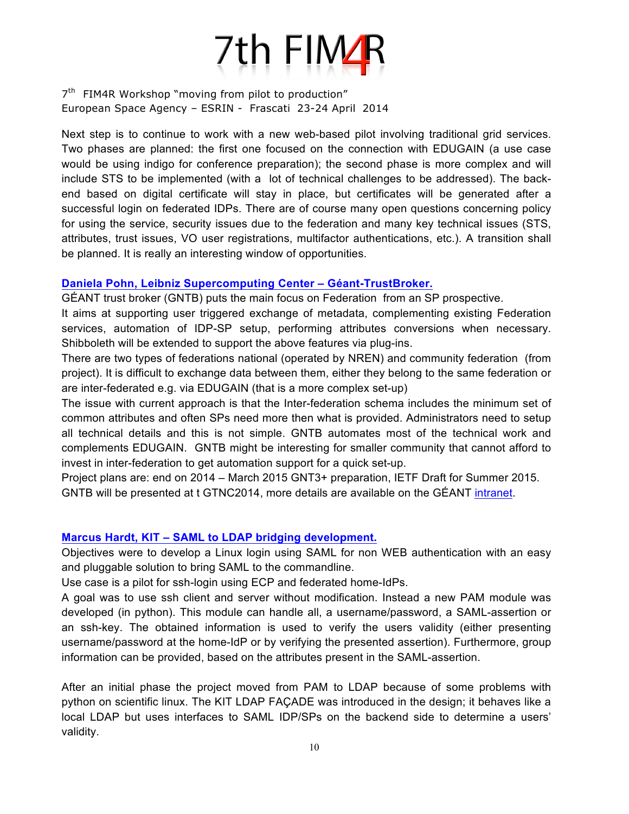

Next step is to continue to work with a new web-based pilot involving traditional grid services. Two phases are planned: the first one focused on the connection with EDUGAIN (a use case would be using indigo for conference preparation); the second phase is more complex and will include STS to be implemented (with a lot of technical challenges to be addressed). The backend based on digital certificate will stay in place, but certificates will be generated after a successful login on federated IDPs. There are of course many open questions concerning policy for using the service, security issues due to the federation and many key technical issues (STS, attributes, trust issues, VO user registrations, multifactor authentications, etc.). A transition shall be planned. It is really an interesting window of opportunities.

#### **Daniela Pohn, Leibniz Supercomputing Center – Géant-TrustBroker.**

GÉANT trust broker (GNTB) puts the main focus on Federation from an SP prospective.

It aims at supporting user triggered exchange of metadata, complementing existing Federation services, automation of IDP-SP setup, performing attributes conversions when necessary. Shibboleth will be extended to support the above features via plug-ins.

There are two types of federations national (operated by NREN) and community federation (from project). It is difficult to exchange data between them, either they belong to the same federation or are inter-federated e.g. via EDUGAIN (that is a more complex set-up)

The issue with current approach is that the Inter-federation schema includes the minimum set of common attributes and often SPs need more then what is provided. Administrators need to setup all technical details and this is not simple. GNTB automates most of the technical work and complements EDUGAIN. GNTB might be interesting for smaller community that cannot afford to invest in inter-federation to get automation support for a quick set-up.

Project plans are: end on 2014 – March 2015 GNT3+ preparation, IETF Draft for Summer 2015. GNTB will be presented at t GTNC2014, more details are available on the GÉANT intranet.

### **Marcus Hardt, KIT – SAML to LDAP bridging development.**

Objectives were to develop a Linux login using SAML for non WEB authentication with an easy and pluggable solution to bring SAML to the commandline.

Use case is a pilot for ssh-login using ECP and federated home-IdPs.

A goal was to use ssh client and server without modification. Instead a new PAM module was developed (in python). This module can handle all, a username/password, a SAML-assertion or an ssh-key. The obtained information is used to verify the users validity (either presenting username/password at the home-IdP or by verifying the presented assertion). Furthermore, group information can be provided, based on the attributes present in the SAML-assertion.

After an initial phase the project moved from PAM to LDAP because of some problems with python on scientific linux. The KIT LDAP FAÇADE was introduced in the design; it behaves like a local LDAP but uses interfaces to SAML IDP/SPs on the backend side to determine a users' validity.